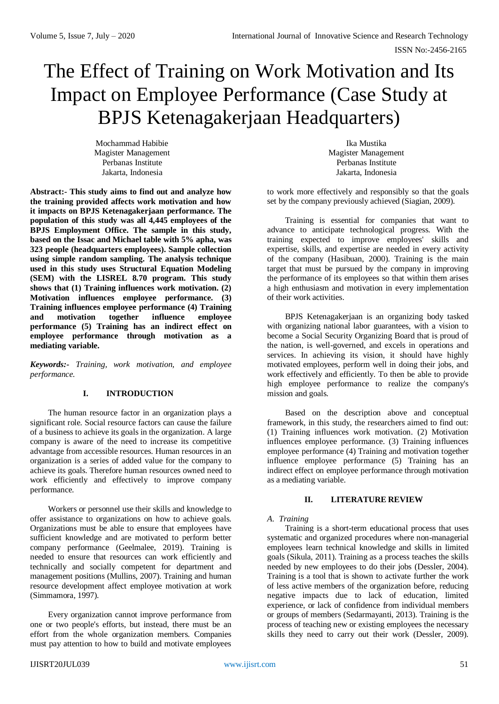# The Effect of Training on Work Motivation and Its Impact on Employee Performance (Case Study at BPJS Ketenagakerjaan Headquarters)

Mochammad Habibie Magister Management Perbanas Institute Jakarta, Indonesia

**Abstract:- This study aims to find out and analyze how the training provided affects work motivation and how it impacts on BPJS Ketenagakerjaan performance. The population of this study was all 4,445 employees of the BPJS Employment Office. The sample in this study, based on the Issac and Michael table with 5% apha, was 323 people (headquarters employees). Sample collection using simple random sampling. The analysis technique used in this study uses Structural Equation Modeling (SEM) with the LISREL 8.70 program. This study shows that (1) Training influences work motivation. (2) Motivation influences employee performance. (3) Training influences employee performance (4) Training and motivation together influence employee performance (5) Training has an indirect effect on employee performance through motivation as a mediating variable.**

*Keywords:- Training, work motivation, and employee performance.*

# **I. INTRODUCTION**

The human resource factor in an organization plays a significant role. Social resource factors can cause the failure of a business to achieve its goals in the organization. A large company is aware of the need to increase its competitive advantage from accessible resources. Human resources in an organization is a series of added value for the company to achieve its goals. Therefore human resources owned need to work efficiently and effectively to improve company performance.

Workers or personnel use their skills and knowledge to offer assistance to organizations on how to achieve goals. Organizations must be able to ensure that employees have sufficient knowledge and are motivated to perform better company performance (Geelmalee, 2019). Training is needed to ensure that resources can work efficiently and technically and socially competent for department and management positions (Mullins, 2007). Training and human resource development affect employee motivation at work (Simmamora, 1997).

Every organization cannot improve performance from one or two people's efforts, but instead, there must be an effort from the whole organization members. Companies must pay attention to how to build and motivate employees

Ika Mustika Magister Management Perbanas Institute Jakarta, Indonesia

to work more effectively and responsibly so that the goals set by the company previously achieved (Siagian, 2009).

Training is essential for companies that want to advance to anticipate technological progress. With the training expected to improve employees' skills and expertise, skills, and expertise are needed in every activity of the company (Hasibuan, 2000). Training is the main target that must be pursued by the company in improving the performance of its employees so that within them arises a high enthusiasm and motivation in every implementation of their work activities.

BPJS Ketenagakerjaan is an organizing body tasked with organizing national labor guarantees, with a vision to become a Social Security Organizing Board that is proud of the nation, is well-governed, and excels in operations and services. In achieving its vision, it should have highly motivated employees, perform well in doing their jobs, and work effectively and efficiently. To then be able to provide high employee performance to realize the company's mission and goals.

Based on the description above and conceptual framework, in this study, the researchers aimed to find out: (1) Training influences work motivation. (2) Motivation influences employee performance. (3) Training influences employee performance (4) Training and motivation together influence employee performance (5) Training has an indirect effect on employee performance through motivation as a mediating variable.

# **II. LITERATURE REVIEW**

### *A. Training*

Training is a short-term educational process that uses systematic and organized procedures where non-managerial employees learn technical knowledge and skills in limited goals (Sikula, 2011). Training as a process teaches the skills needed by new employees to do their jobs (Dessler, 2004). Training is a tool that is shown to activate further the work of less active members of the organization before, reducing negative impacts due to lack of education, limited experience, or lack of confidence from individual members or groups of members (Sedarmayanti, 2013). Training is the process of teaching new or existing employees the necessary skills they need to carry out their work (Dessler, 2009).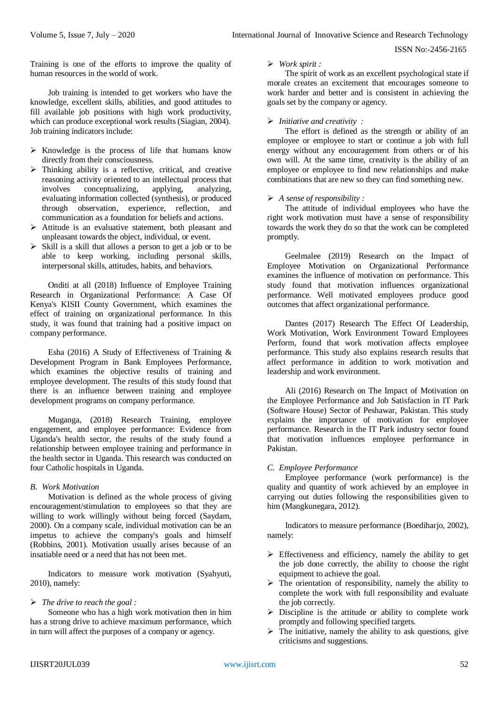ISSN No:-2456-2165

Training is one of the efforts to improve the quality of human resources in the world of work.

Job training is intended to get workers who have the knowledge, excellent skills, abilities, and good attitudes to fill available job positions with high work productivity, which can produce exceptional work results (Siagian, 2004). Job training indicators include:

- $\triangleright$  Knowledge is the process of life that humans know directly from their consciousness.
- $\triangleright$  Thinking ability is a reflective, critical, and creative reasoning activity oriented to an intellectual process that involves conceptualizing, applying, analyzing, evaluating information collected (synthesis), or produced through observation, experience, reflection, and communication as a foundation for beliefs and actions.
- $\triangleright$  Attitude is an evaluative statement, both pleasant and unpleasant towards the object, individual, or event.
- $\triangleright$  Skill is a skill that allows a person to get a job or to be able to keep working, including personal skills, interpersonal skills, attitudes, habits, and behaviors.

Onditi at all (2018) Influence of Employee Training Research in Organizational Performance: A Case Of Kenya's KISII County Government, which examines the effect of training on organizational performance. In this study, it was found that training had a positive impact on company performance.

Esha (2016) A Study of Effectiveness of Training & Development Program in Bank Employees Performance, which examines the objective results of training and employee development. The results of this study found that there is an influence between training and employee development programs on company performance.

Muganga, (2018) Research Training, employee engagement, and employee performance: Evidence from Uganda's health sector, the results of the study found a relationship between employee training and performance in the health sector in Uganda. This research was conducted on four Catholic hospitals in Uganda.

### *B. Work Motivation*

Motivation is defined as the whole process of giving encouragement/stimulation to employees so that they are willing to work willingly without being forced (Saydam, 2000). On a company scale, individual motivation can be an impetus to achieve the company's goals and himself (Robbins, 2001). Motivation usually arises because of an insatiable need or a need that has not been met.

Indicators to measure work motivation (Syahyuti, 2010), namely:

### *The drive to reach the goal :*

Someone who has a high work motivation then in him has a strong drive to achieve maximum performance, which in turn will affect the purposes of a company or agency.

#### *Work spirit :*

The spirit of work as an excellent psychological state if morale creates an excitement that encourages someone to work harder and better and is consistent in achieving the goals set by the company or agency.

## *Initiative and creativity :*

The effort is defined as the strength or ability of an employee or employee to start or continue a job with full energy without any encouragement from others or of his own will. At the same time, creativity is the ability of an employee or employee to find new relationships and make combinations that are new so they can find something new.

### *A sense of responsibility :*

The attitude of individual employees who have the right work motivation must have a sense of responsibility towards the work they do so that the work can be completed promptly.

Geelmalee (2019) Research on the Impact of Employee Motivation on Organizational Performance examines the influence of motivation on performance. This study found that motivation influences organizational performance. Well motivated employees produce good outcomes that affect organizational performance.

Dantes (2017) Research The Effect Of Leadership, Work Motivation, Work Environment Toward Employees Perform, found that work motivation affects employee performance. This study also explains research results that affect performance in addition to work motivation and leadership and work environment.

Ali (2016) Research on The Impact of Motivation on the Employee Performance and Job Satisfaction in IT Park (Software House) Sector of Peshawar, Pakistan. This study explains the importance of motivation for employee performance. Research in the IT Park industry sector found that motivation influences employee performance in Pakistan.

### *C. Employee Performance*

Employee performance (work performance) is the quality and quantity of work achieved by an employee in carrying out duties following the responsibilities given to him (Mangkunegara, 2012).

Indicators to measure performance (Boediharjo, 2002), namely:

- $\triangleright$  Effectiveness and efficiency, namely the ability to get the job done correctly, the ability to choose the right equipment to achieve the goal.
- $\triangleright$  The orientation of responsibility, namely the ability to complete the work with full responsibility and evaluate the job correctly.
- $\triangleright$  Discipline is the attitude or ability to complete work promptly and following specified targets.
- $\triangleright$  The initiative, namely the ability to ask questions, give criticisms and suggestions.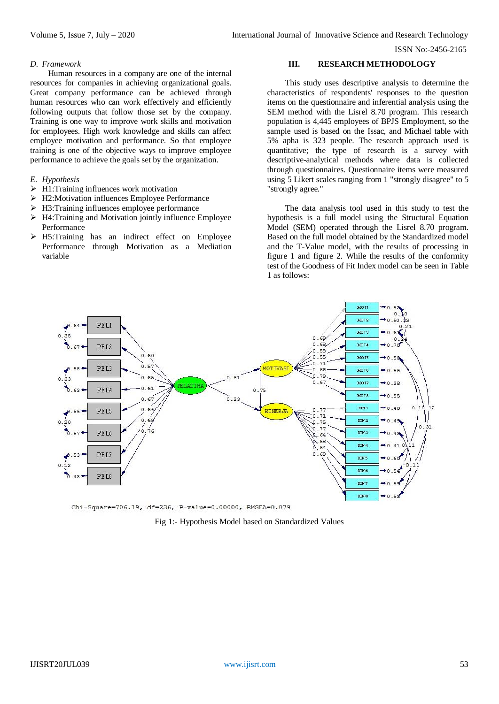ISSN No:-2456-2165

#### *D. Framework*

Human resources in a company are one of the internal resources for companies in achieving organizational goals. Great company performance can be achieved through human resources who can work effectively and efficiently following outputs that follow those set by the company. Training is one way to improve work skills and motivation for employees. High work knowledge and skills can affect employee motivation and performance. So that employee training is one of the objective ways to improve employee performance to achieve the goals set by the organization.

#### *E. Hypothesis*

- $\triangleright$  H1:Training influences work motivation
- H2:Motivation influences Employee Performance
- $\triangleright$  H3:Training influences employee performance
- $\triangleright$  H4: Training and Motivation jointly influence Employee Performance
- H5:Training has an indirect effect on Employee Performance through Motivation as a Mediation variable

### **III. RESEARCH METHODOLOGY**

This study uses descriptive analysis to determine the characteristics of respondents' responses to the question items on the questionnaire and inferential analysis using the SEM method with the Lisrel 8.70 program. This research population is 4,445 employees of BPJS Employment, so the sample used is based on the Issac, and Michael table with 5% apha is 323 people. The research approach used is quantitative; the type of research is a survey with descriptive-analytical methods where data is collected through questionnaires. Questionnaire items were measured using 5 Likert scales ranging from 1 "strongly disagree" to 5 "strongly agree."

The data analysis tool used in this study to test the hypothesis is a full model using the Structural Equation Model (SEM) operated through the Lisrel 8.70 program. Based on the full model obtained by the Standardized model and the T-Value model, with the results of processing in figure 1 and figure 2. While the results of the conformity test of the Goodness of Fit Index model can be seen in Table 1 as follows:



Chi-Square=706.19, df=236, P-value=0.00000, RMSEA=0.079

Fig 1:- Hypothesis Model based on Standardized Values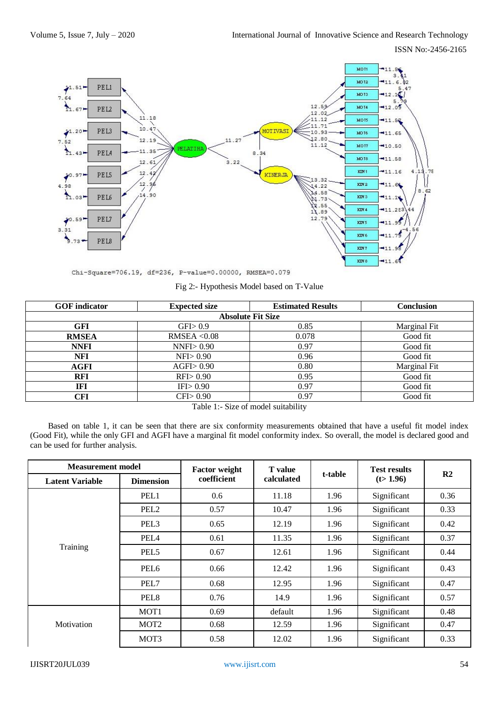ISSN No:-2456-2165



Chi-Square=706.19, df=236, P-value=0.00000, RMSEA=0.079

Fig 2:- Hypothesis Model based on T-Value

| <b>GOF</b> indicator     | <b>Expected size</b> | <b>Estimated Results</b> | <b>Conclusion</b> |  |  |  |
|--------------------------|----------------------|--------------------------|-------------------|--|--|--|
| <b>Absolute Fit Size</b> |                      |                          |                   |  |  |  |
| GFI                      | GFD 0.9              | 0.85                     | Marginal Fit      |  |  |  |
| <b>RMSEA</b>             | RMSEA $< 0.08$       | 0.078                    | Good fit          |  |  |  |
| <b>NNFI</b>              | $NNFI$ $> 0.90$      | 0.97                     | Good fit          |  |  |  |
| NFI                      | NF1 > 0.90           | 0.96                     | Good fit          |  |  |  |
| AGFI                     | $AGFI$ 0.90          | 0.80                     | Marginal Fit      |  |  |  |
| <b>RFI</b>               | RFI > 0.90           | 0.95                     | Good fit          |  |  |  |
| IFI                      | IFI>0.90             | 0.97                     | Good fit          |  |  |  |
| CFI                      | CFI > 0.90           | 0.97<br>.                | Good fit          |  |  |  |

Table 1:- Size of model suitability

Based on table 1, it can be seen that there are six conformity measurements obtained that have a useful fit model index (Good Fit), while the only GFI and AGFI have a marginal fit model conformity index. So overall, the model is declared good and can be used for further analysis.

| <b>Measurement model</b> |                  | <b>Factor weight</b> | <b>T</b> value |         | <b>Test results</b> |      |
|--------------------------|------------------|----------------------|----------------|---------|---------------------|------|
| <b>Latent Variable</b>   | <b>Dimension</b> | coefficient          | calculated     | t-table | (t > 1.96)          | R2   |
| Training                 | PEL1             | 0.6                  | 11.18          | 1.96    | Significant         | 0.36 |
|                          | PEL <sub>2</sub> | 0.57                 | 10.47          | 1.96    | Significant         | 0.33 |
|                          | PEL <sub>3</sub> | 0.65                 | 12.19          | 1.96    | Significant         | 0.42 |
|                          | PEL <sub>4</sub> | 0.61                 | 11.35          | 1.96    | Significant         | 0.37 |
|                          | PEL <sub>5</sub> | 0.67                 | 12.61          | 1.96    | Significant         | 0.44 |
|                          | PEL <sub>6</sub> | 0.66                 | 12.42          | 1.96    | Significant         | 0.43 |
|                          | PEL7             | 0.68                 | 12.95          | 1.96    | Significant         | 0.47 |
|                          | PEL <sub>8</sub> | 0.76                 | 14.9           | 1.96    | Significant         | 0.57 |
| Motivation               | MOT1             | 0.69                 | default        | 1.96    | Significant         | 0.48 |
|                          | MOT <sub>2</sub> | 0.68                 | 12.59          | 1.96    | Significant         | 0.47 |
|                          | MOT3             | 0.58                 | 12.02          | 1.96    | Significant         | 0.33 |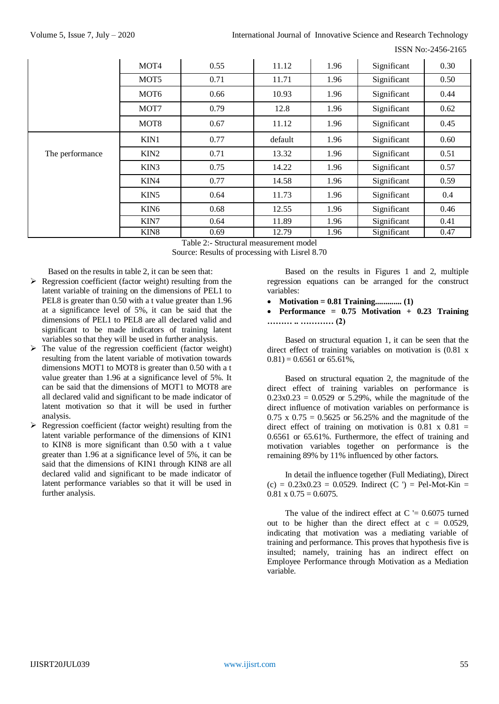ISSN No:-2456-2165

|                 | MOT <sub>4</sub> | 0.55 | 11.12   | 1.96 | Significant | 0.30 |
|-----------------|------------------|------|---------|------|-------------|------|
|                 | MOT <sub>5</sub> | 0.71 | 11.71   | 1.96 | Significant | 0.50 |
|                 | MOT <sub>6</sub> | 0.66 | 10.93   | 1.96 | Significant | 0.44 |
|                 | MOT7             | 0.79 | 12.8    | 1.96 | Significant | 0.62 |
|                 | MOT <sub>8</sub> | 0.67 | 11.12   | 1.96 | Significant | 0.45 |
|                 | KIN1             | 0.77 | default | 1.96 | Significant | 0.60 |
| The performance | KIN <sub>2</sub> | 0.71 | 13.32   | 1.96 | Significant | 0.51 |
|                 | KIN3             | 0.75 | 14.22   | 1.96 | Significant | 0.57 |
|                 | KIN4             | 0.77 | 14.58   | 1.96 | Significant | 0.59 |
|                 | KIN <sub>5</sub> | 0.64 | 11.73   | 1.96 | Significant | 0.4  |
|                 | KIN <sub>6</sub> | 0.68 | 12.55   | 1.96 | Significant | 0.46 |
|                 | KIN7             | 0.64 | 11.89   | 1.96 | Significant | 0.41 |
|                 | KIN <sub>8</sub> | 0.69 | 12.79   | 1.96 | Significant | 0.47 |

Table 2:- Structural measurement model

Source: Results of processing with Lisrel 8.70

Based on the results in table 2, it can be seen that:

- $\triangleright$  Regression coefficient (factor weight) resulting from the latent variable of training on the dimensions of PEL1 to PEL8 is greater than 0.50 with a t value greater than 1.96 at a significance level of 5%, it can be said that the dimensions of PEL1 to PEL8 are all declared valid and significant to be made indicators of training latent variables so that they will be used in further analysis.
- $\triangleright$  The value of the regression coefficient (factor weight) resulting from the latent variable of motivation towards dimensions MOT1 to MOT8 is greater than 0.50 with a t value greater than 1.96 at a significance level of 5%. It can be said that the dimensions of MOT1 to MOT8 are all declared valid and significant to be made indicator of latent motivation so that it will be used in further analysis.
- $\triangleright$  Regression coefficient (factor weight) resulting from the latent variable performance of the dimensions of KIN1 to KIN8 is more significant than 0.50 with a t value greater than 1.96 at a significance level of 5%, it can be said that the dimensions of KIN1 through KIN8 are all declared valid and significant to be made indicator of latent performance variables so that it will be used in further analysis.

Based on the results in Figures 1 and 2, multiple regression equations can be arranged for the construct variables:

- **Motivation = 0.81 Training............. (1)**
- **Performance = 0.75 Motivation + 0.23 Training ……… .. ………… (2)**

Based on structural equation 1, it can be seen that the direct effect of training variables on motivation is (0.81 x  $(0.81) = 0.6561$  or 65.61%,

Based on structural equation 2, the magnitude of the direct effect of training variables on performance is  $0.23x0.23 = 0.0529$  or 5.29%, while the magnitude of the direct influence of motivation variables on performance is 0.75 x  $0.75 = 0.5625$  or 56.25% and the magnitude of the direct effect of training on motivation is  $0.81 \times 0.81 =$ 0.6561 or 65.61%. Furthermore, the effect of training and motivation variables together on performance is the remaining 89% by 11% influenced by other factors.

In detail the influence together (Full Mediating), Direct  $(c) = 0.23x0.23 = 0.0529$ . Indirect  $(C') =$  Pel-Mot-Kin =  $0.81 \times 0.75 = 0.6075.$ 

The value of the indirect effect at  $C = 0.6075$  turned out to be higher than the direct effect at  $c = 0.0529$ , indicating that motivation was a mediating variable of training and performance. This proves that hypothesis five is insulted; namely, training has an indirect effect on Employee Performance through Motivation as a Mediation variable.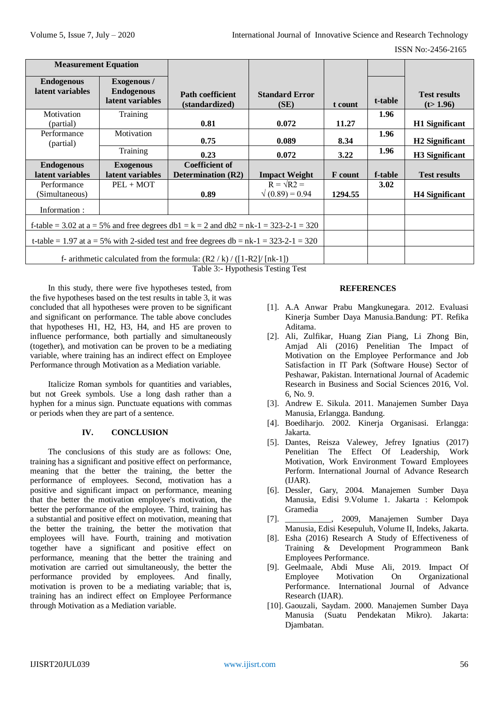| <b>Measurement Equation</b>                                                             |                                                      |                                                    |                                           |                |         |                                   |
|-----------------------------------------------------------------------------------------|------------------------------------------------------|----------------------------------------------------|-------------------------------------------|----------------|---------|-----------------------------------|
| <b>Endogenous</b><br>latent variables                                                   | Exogenous /<br><b>Endogenous</b><br>latent variables | <b>Path coefficient</b><br>(standardized)          | <b>Standard Error</b><br>(SE)             | t count        | t-table | <b>Test results</b><br>(t > 1.96) |
| Motivation<br>(partial)                                                                 | Training                                             | 0.81                                               | 0.072                                     | 11.27          | 1.96    | <b>H1</b> Significant             |
| Performance<br>(partial)                                                                | Motivation                                           | 0.75                                               | 0.089                                     | 8.34           | 1.96    | H <sub>2</sub> Significant        |
|                                                                                         | Training                                             | 0.23                                               | 0.072                                     | 3.22           | 1.96    | H3 Significant                    |
| <b>Endogenous</b><br>latent variables                                                   | <b>Exogenous</b><br>latent variables                 | <b>Coefficient of</b><br><b>Determination (R2)</b> | <b>Impact Weight</b>                      | <b>F</b> count | f-table | <b>Test results</b>               |
| Performance<br>(Simultaneous)                                                           | $PEL + MOT$                                          | 0.89                                               | $R = \sqrt{R2}$<br>$\sqrt{(0.89)} = 0.94$ | 1294.55        | 3.02    | <b>H4 Significant</b>             |
| Information:                                                                            |                                                      |                                                    |                                           |                |         |                                   |
| f-table = 3.02 at a = 5% and free degrees db1 = $k = 2$ and db2 = nk-1 = 323-2-1 = 320  |                                                      |                                                    |                                           |                |         |                                   |
| t-table = 1.97 at a = 5% with 2-sided test and free degrees db = $nk-1 = 323-2-1 = 320$ |                                                      |                                                    |                                           |                |         |                                   |
| f- arithmetic calculated from the formula: $(R2 / k) / ([1-R2]/[nk-1])$<br>m 11 A TT 1  |                                                      |                                                    |                                           |                |         |                                   |

Table 3:- Hypothesis Testing Test

In this study, there were five hypotheses tested, from the five hypotheses based on the test results in table 3, it was concluded that all hypotheses were proven to be significant and significant on performance. The table above concludes that hypotheses H1, H2, H3, H4, and H5 are proven to influence performance, both partially and simultaneously (together), and motivation can be proven to be a mediating variable, where training has an indirect effect on Employee Performance through Motivation as a Mediation variable.

Italicize Roman symbols for quantities and variables, but not Greek symbols. Use a long dash rather than a hyphen for a minus sign. Punctuate equations with commas or periods when they are part of a sentence.

# **IV. CONCLUSION**

The conclusions of this study are as follows: One, training has a significant and positive effect on performance, meaning that the better the training, the better the performance of employees. Second, motivation has a positive and significant impact on performance, meaning that the better the motivation employee's motivation, the better the performance of the employee. Third, training has a substantial and positive effect on motivation, meaning that the better the training, the better the motivation that employees will have. Fourth, training and motivation together have a significant and positive effect on performance, meaning that the better the training and motivation are carried out simultaneously, the better the performance provided by employees. And finally, motivation is proven to be a mediating variable; that is, training has an indirect effect on Employee Performance through Motivation as a Mediation variable.

### **REFERENCES**

- [1]. A.A Anwar Prabu Mangkunegara. 2012. Evaluasi Kinerja Sumber Daya Manusia.Bandung: PT. Refika Aditama.
- [2]. Ali, Zulfikar, Huang Zian Piang, Li Zhong Bin, Amjad Ali (2016) Penelitian The Impact of Motivation on the Employee Performance and Job Satisfaction in IT Park (Software House) Sector of Peshawar, Pakistan. International Journal of Academic Research in Business and Social Sciences 2016, Vol. 6, No. 9.
- [3]. Andrew E. Sikula. 2011. Manajemen Sumber Daya Manusia, Erlangga. Bandung.
- [4]. Boediharjo. 2002. Kinerja Organisasi. Erlangga: Jakarta.
- [5]. Dantes, Reisza Valewey, Jefrey Ignatius (2017) Penelitian The Effect Of Leadership, Work Motivation, Work Environment Toward Employees Perform. International Journal of Advance Research (IJAR).
- [6]. Dessler, Gary, 2004. Manajemen Sumber Daya Manusia, Edisi 9.Volume 1. Jakarta : Kelompok Gramedia
- [7].  $2009$ , Manajemen Sumber Daya Manusia, Edisi Kesepuluh, Volume II, Indeks, Jakarta.
- [8]. Esha (2016) Research A Study of Effectiveness of Training & Development Programmeon Bank Employees Performance.
- [9]. Geelmaale, Abdi Muse Ali, 2019. Impact Of Employee Motivation On Organizational Performance. International Journal of Advance Research (IJAR).
- [10]. Gaouzali, Saydam. 2000. Manajemen Sumber Daya Manusia (Suatu Pendekatan Mikro). Jakarta: Djambatan.